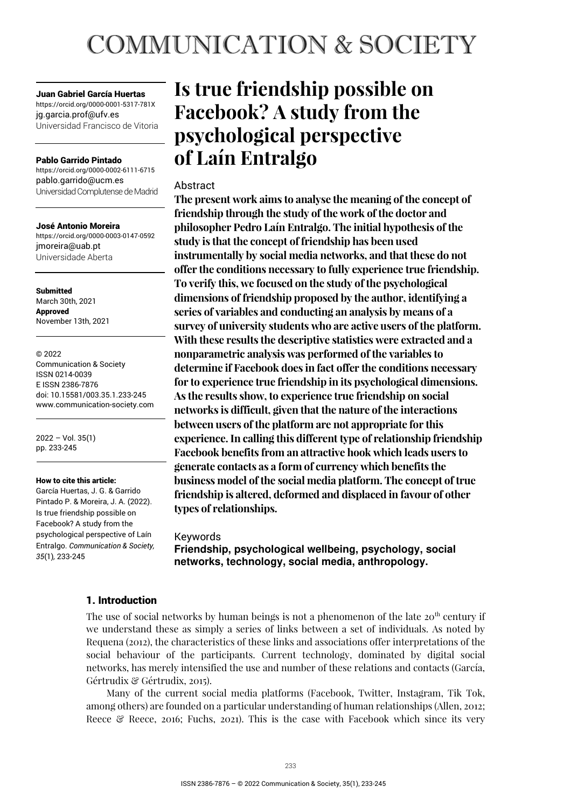# **COMMUNICATION & SOCIETY**

Juan Gabriel García Huertas https://orcid.org/0000-0001-5317-781X jg.garcia.prof@ufv.es

Universidad Francisco de Vitoria

#### Pablo Garrido Pintado

https://orcid.org/0000-0002-6111-6715 pablo.garrido@ucm.es Universidad Complutense de Madrid

José Antonio Moreira https://orcid.org/0000-0003-0147-0592 jmoreira@uab.pt Universidade Aberta

Submitted March 30th, 2021 Approved November 13th, 2021

#### © 2022

Communication & Society ISSN 0214-0039 E ISSN 2386-7876 doi: 10.15581/003.35.1.233-245 www.communication-society.com

2022 – Vol. 35(1) pp. 233-245

#### How to cite this article:

García Huertas, J. G. & Garrido Pintado P. & Moreira, J. A. (2022). Is true friendship possible on Facebook? A study from the psychological perspective of Laín Entralgo. *Communication & Society, 35*(1)*,* 233-245

# **Is true friendship possible on Facebook? A study from the psychological perspective of Laín Entralgo**

# Abstract

**The present work aims to analyse the meaning of the concept of friendship through the study of the work of the doctor and philosopher Pedro Laín Entralgo. The initial hypothesis of the study is that the concept of friendship has been used instrumentally by social media networks, and that these do not offer the conditions necessary to fully experience true friendship. To verify this, we focused on the study of the psychological dimensions of friendship proposed by the author, identifying a series of variables and conducting an analysis by means of a survey of university students who are active users of the platform. With these results the descriptive statistics were extracted and a nonparametric analysis was performed of the variables to determine if Facebook does in fact offer the conditions necessary for to experience true friendship in its psychological dimensions. As the results show, to experience true friendship on social networks is difficult, given that the nature of the interactions between users of the platform are not appropriate for this experience. In calling this different type of relationship friendship Facebook benefits from an attractive hook which leads users to generate contacts as a form of currency which benefits the business model of the social media platform. The concept of true friendship is altered, deformed and displaced in favour of other types of relationships.** 

#### Keywords

**Friendship, psychological wellbeing, psychology, social networks, technology, social media, anthropology.** 

# 1. Introduction

The use of social networks by human beings is not a phenomenon of the late  $20<sup>th</sup>$  century if we understand these as simply a series of links between a set of individuals. As noted by Requena (2012), the characteristics of these links and associations offer interpretations of the social behaviour of the participants. Current technology, dominated by digital social networks, has merely intensified the use and number of these relations and contacts (García, Gértrudix & Gértrudix, 2015).

Many of the current social media platforms (Facebook, Twitter, Instagram, Tik Tok, among others) are founded on a particular understanding of human relationships (Allen, 2012; Reece  $\mathcal{C}$  Reece, 2016; Fuchs, 2021). This is the case with Facebook which since its very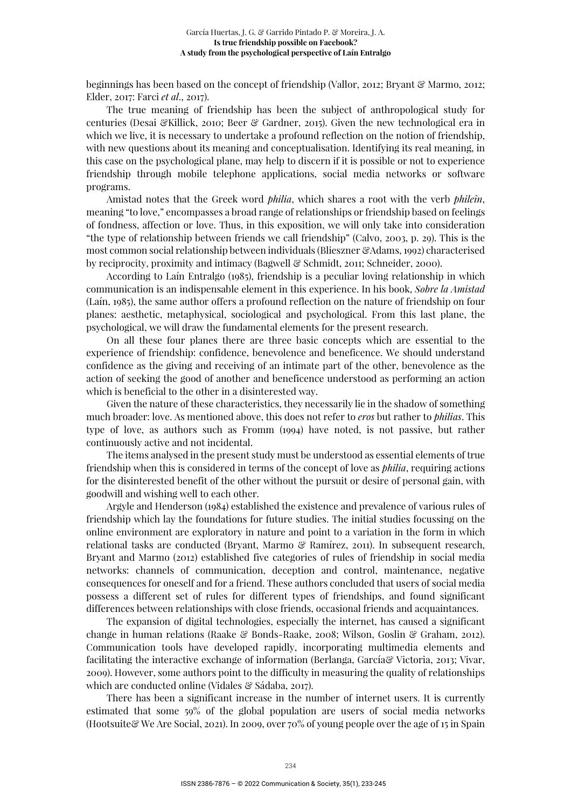beginnings has been based on the concept of friendship (Vallor, 2012; Bryant & Marmo, 2012; Elder, 2017: Farci *et al*., 2017).

The true meaning of friendship has been the subject of anthropological study for centuries (Desai &Killick, 2010; Beer & Gardner, 2015). Given the new technological era in which we live, it is necessary to undertake a profound reflection on the notion of friendship, with new questions about its meaning and conceptualisation. Identifying its real meaning, in this case on the psychological plane, may help to discern if it is possible or not to experience friendship through mobile telephone applications, social media networks or software programs.

Amistad notes that the Greek word *philia*, which shares a root with the verb *phileîn*, meaning "to love," encompasses a broad range of relationships or friendship based on feelings of fondness, affection or love. Thus, in this exposition, we will only take into consideration "the type of relationship between friends we call friendship" (Calvo, 2003, p. 29). This is the most common social relationship between individuals (Blieszner &Adams, 1992) characterised by reciprocity, proximity and intimacy (Bagwell & Schmidt, 2011; Schneider, 2000).

According to Laín Entralgo (1985), friendship is a peculiar loving relationship in which communication is an indispensable element in this experience. In his book, *Sobre la Amistad* (Laín, 1985), the same author offers a profound reflection on the nature of friendship on four planes: aesthetic, metaphysical, sociological and psychological. From this last plane, the psychological, we will draw the fundamental elements for the present research.

On all these four planes there are three basic concepts which are essential to the experience of friendship: confidence, benevolence and beneficence. We should understand confidence as the giving and receiving of an intimate part of the other, benevolence as the action of seeking the good of another and beneficence understood as performing an action which is beneficial to the other in a disinterested way.

Given the nature of these characteristics, they necessarily lie in the shadow of something much broader: love. As mentioned above, this does not refer to *eros* but rather to *philias*. This type of love, as authors such as Fromm (1994) have noted, is not passive, but rather continuously active and not incidental.

The items analysed in the present study must be understood as essential elements of true friendship when this is considered in terms of the concept of love as *philia*, requiring actions for the disinterested benefit of the other without the pursuit or desire of personal gain, with goodwill and wishing well to each other.

Argyle and Henderson (1984) established the existence and prevalence of various rules of friendship which lay the foundations for future studies. The initial studies focussing on the online environment are exploratory in nature and point to a variation in the form in which relational tasks are conducted (Bryant, Marmo & Ramírez, 2011). In subsequent research, Bryant and Marmo (2012) established five categories of rules of friendship in social media networks: channels of communication, deception and control, maintenance, negative consequences for oneself and for a friend. These authors concluded that users of social media possess a different set of rules for different types of friendships, and found significant differences between relationships with close friends, occasional friends and acquaintances.

The expansion of digital technologies, especially the internet, has caused a significant change in human relations (Raake & Bonds-Raake, 2008; Wilson, Goslin & Graham, 2012). Communication tools have developed rapidly, incorporating multimedia elements and facilitating the interactive exchange of information (Berlanga, García& Victoria, 2013; Vivar, 2009). However, some authors point to the difficulty in measuring the quality of relationships which are conducted online (Vidales & Sádaba, 2017).

There has been a significant increase in the number of internet users. It is currently estimated that some 59% of the global population are users of social media networks (Hootsuite& We Are Social, 2021). In 2009, over 70% of young people over the age of 15 in Spain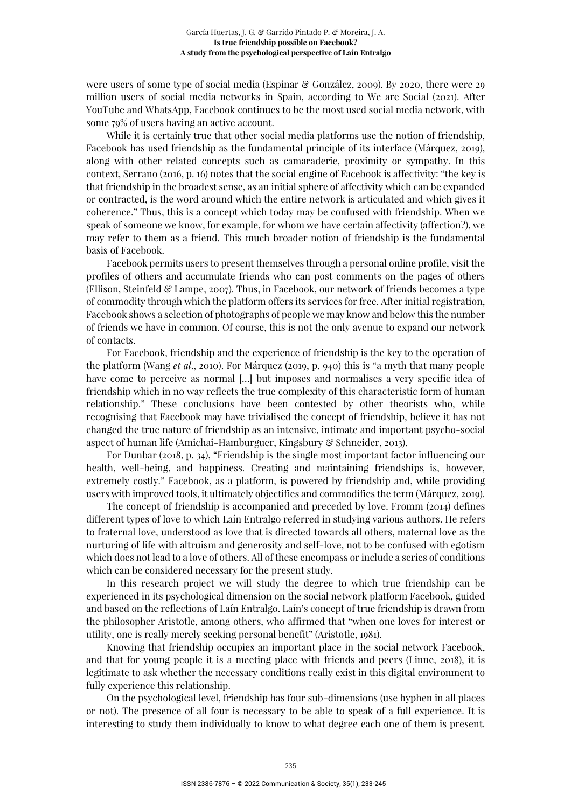were users of some type of social media (Espinar & González, 2009). By 2020, there were 29 million users of social media networks in Spain, according to We are Social (2021). After YouTube and WhatsApp, Facebook continues to be the most used social media network, with some 79% of users having an active account.

While it is certainly true that other social media platforms use the notion of friendship, Facebook has used friendship as the fundamental principle of its interface (Márquez, 2019), along with other related concepts such as camaraderie, proximity or sympathy. In this context, Serrano (2016, p. 16) notes that the social engine of Facebook is affectivity: "the key is that friendship in the broadest sense, as an initial sphere of affectivity which can be expanded or contracted, is the word around which the entire network is articulated and which gives it coherence." Thus, this is a concept which today may be confused with friendship. When we speak of someone we know, for example, for whom we have certain affectivity (affection?), we may refer to them as a friend. This much broader notion of friendship is the fundamental basis of Facebook.

Facebook permits users to present themselves through a personal online profile, visit the profiles of others and accumulate friends who can post comments on the pages of others (Ellison, Steinfeld  $\mathcal{C}$  Lampe, 2007). Thus, in Facebook, our network of friends becomes a type of commodity through which the platform offers its services for free. After initial registration, Facebook shows a selection of photographs of people we may know and below this the number of friends we have in common. Of course, this is not the only avenue to expand our network of contacts.

For Facebook, friendship and the experience of friendship is the key to the operation of the platform (Wang *et al*., 2010). For Márquez (2019, p. 940) this is "a myth that many people have come to perceive as normal [...] but imposes and normalises a very specific idea of friendship which in no way reflects the true complexity of this characteristic form of human relationship." These conclusions have been contested by other theorists who, while recognising that Facebook may have trivialised the concept of friendship, believe it has not changed the true nature of friendship as an intensive, intimate and important psycho-social aspect of human life (Amichai-Hamburguer, Kingsbury & Schneider, 2013).

For Dunbar (2018, p. 34), "Friendship is the single most important factor influencing our health, well-being, and happiness. Creating and maintaining friendships is, however, extremely costly." Facebook, as a platform, is powered by friendship and, while providing users with improved tools, it ultimately objectifies and commodifies the term (Márquez, 2019).

The concept of friendship is accompanied and preceded by love. Fromm (2014) defines different types of love to which Laín Entralgo referred in studying various authors. He refers to fraternal love, understood as love that is directed towards all others, maternal love as the nurturing of life with altruism and generosity and self-love, not to be confused with egotism which does not lead to a love of others. All of these encompass or include a series of conditions which can be considered necessary for the present study.

In this research project we will study the degree to which true friendship can be experienced in its psychological dimension on the social network platform Facebook, guided and based on the reflections of Laín Entralgo. Laín's concept of true friendship is drawn from the philosopher Aristotle, among others, who affirmed that "when one loves for interest or utility, one is really merely seeking personal benefit" (Aristotle, 1981).

Knowing that friendship occupies an important place in the social network Facebook, and that for young people it is a meeting place with friends and peers (Linne, 2018), it is legitimate to ask whether the necessary conditions really exist in this digital environment to fully experience this relationship.

On the psychological level, friendship has four sub-dimensions (use hyphen in all places or not). The presence of all four is necessary to be able to speak of a full experience. It is interesting to study them individually to know to what degree each one of them is present.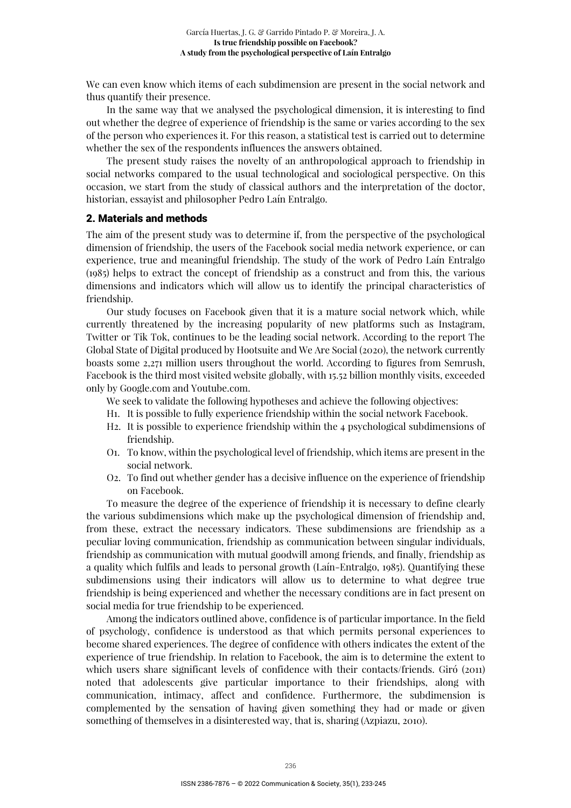We can even know which items of each subdimension are present in the social network and thus quantify their presence.

In the same way that we analysed the psychological dimension, it is interesting to find out whether the degree of experience of friendship is the same or varies according to the sex of the person who experiences it. For this reason, a statistical test is carried out to determine whether the sex of the respondents influences the answers obtained.

The present study raises the novelty of an anthropological approach to friendship in social networks compared to the usual technological and sociological perspective. On this occasion, we start from the study of classical authors and the interpretation of the doctor, historian, essayist and philosopher Pedro Laín Entralgo.

#### 2. Materials and methods

The aim of the present study was to determine if, from the perspective of the psychological dimension of friendship, the users of the Facebook social media network experience, or can experience, true and meaningful friendship. The study of the work of Pedro Laín Entralgo (1985) helps to extract the concept of friendship as a construct and from this, the various dimensions and indicators which will allow us to identify the principal characteristics of friendship.

Our study focuses on Facebook given that it is a mature social network which, while currently threatened by the increasing popularity of new platforms such as Instagram, Twitter or Tik Tok, continues to be the leading social network. According to the report The Global State of Digital produced by Hootsuite and We Are Social (2020), the network currently boasts some 2,271 million users throughout the world. According to figures from Semrush, Facebook is the third most visited website globally, with 15.52 billion monthly visits, exceeded only by Google.com and Youtube.com.

- We seek to validate the following hypotheses and achieve the following objectives:
- H1. It is possible to fully experience friendship within the social network Facebook.
- H2. It is possible to experience friendship within the 4 psychological subdimensions of friendship.
- O1. To know, within the psychological level of friendship, which items are present in the social network.
- O2. To find out whether gender has a decisive influence on the experience of friendship on Facebook.

To measure the degree of the experience of friendship it is necessary to define clearly the various subdimensions which make up the psychological dimension of friendship and, from these, extract the necessary indicators. These subdimensions are friendship as a peculiar loving communication, friendship as communication between singular individuals, friendship as communication with mutual goodwill among friends, and finally, friendship as a quality which fulfils and leads to personal growth (Laín-Entralgo, 1985). Quantifying these subdimensions using their indicators will allow us to determine to what degree true friendship is being experienced and whether the necessary conditions are in fact present on social media for true friendship to be experienced.

Among the indicators outlined above, confidence is of particular importance. In the field of psychology, confidence is understood as that which permits personal experiences to become shared experiences. The degree of confidence with others indicates the extent of the experience of true friendship. In relation to Facebook, the aim is to determine the extent to which users share significant levels of confidence with their contacts/friends. Giró (2011) noted that adolescents give particular importance to their friendships, along with communication, intimacy, affect and confidence. Furthermore, the subdimension is complemented by the sensation of having given something they had or made or given something of themselves in a disinterested way, that is, sharing (Azpiazu, 2010).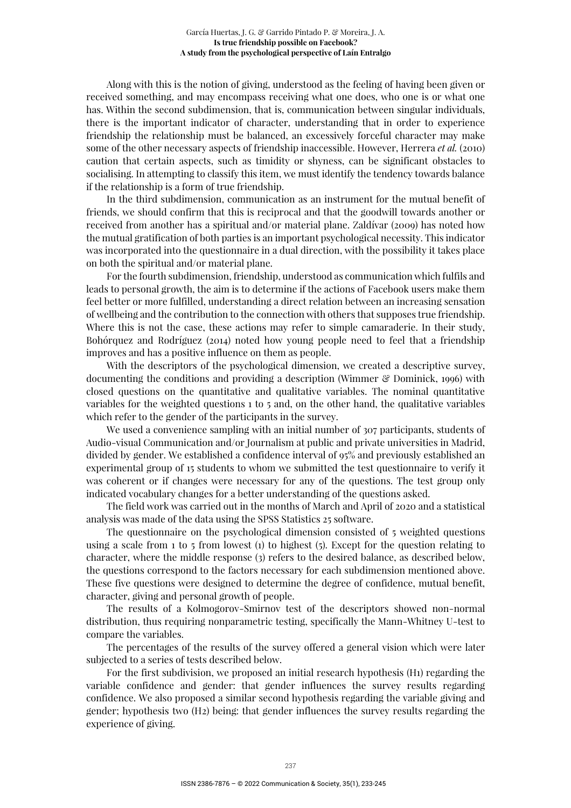Along with this is the notion of giving, understood as the feeling of having been given or received something, and may encompass receiving what one does, who one is or what one has. Within the second subdimension, that is, communication between singular individuals, there is the important indicator of character, understanding that in order to experience friendship the relationship must be balanced, an excessively forceful character may make some of the other necessary aspects of friendship inaccessible. However, Herrera *et al.* (2010) caution that certain aspects, such as timidity or shyness, can be significant obstacles to socialising. In attempting to classify this item, we must identify the tendency towards balance if the relationship is a form of true friendship.

In the third subdimension, communication as an instrument for the mutual benefit of friends, we should confirm that this is reciprocal and that the goodwill towards another or received from another has a spiritual and/or material plane. Zaldívar (2009) has noted how the mutual gratification of both parties is an important psychological necessity. This indicator was incorporated into the questionnaire in a dual direction, with the possibility it takes place on both the spiritual and/or material plane.

For the fourth subdimension, friendship, understood as communication which fulfils and leads to personal growth, the aim is to determine if the actions of Facebook users make them feel better or more fulfilled, understanding a direct relation between an increasing sensation of wellbeing and the contribution to the connection with others that supposes true friendship. Where this is not the case, these actions may refer to simple camaraderie. In their study, Bohórquez and Rodríguez (2014) noted how young people need to feel that a friendship improves and has a positive influence on them as people.

With the descriptors of the psychological dimension, we created a descriptive survey, documenting the conditions and providing a description (Wimmer & Dominick, 1996) with closed questions on the quantitative and qualitative variables. The nominal quantitative variables for the weighted questions 1 to 5 and, on the other hand, the qualitative variables which refer to the gender of the participants in the survey.

We used a convenience sampling with an initial number of 307 participants, students of Audio-visual Communication and/or Journalism at public and private universities in Madrid, divided by gender. We established a confidence interval of 95% and previously established an experimental group of 15 students to whom we submitted the test questionnaire to verify it was coherent or if changes were necessary for any of the questions. The test group only indicated vocabulary changes for a better understanding of the questions asked.

The field work was carried out in the months of March and April of 2020 and a statistical analysis was made of the data using the SPSS Statistics 25 software.

The questionnaire on the psychological dimension consisted of 5 weighted questions using a scale from  $1$  to  $5$  from lowest (1) to highest (5). Except for the question relating to character, where the middle response (3) refers to the desired balance, as described below, the questions correspond to the factors necessary for each subdimension mentioned above. These five questions were designed to determine the degree of confidence, mutual benefit, character, giving and personal growth of people.

The results of a Kolmogorov-Smirnov test of the descriptors showed non-normal distribution, thus requiring nonparametric testing, specifically the Mann-Whitney U-test to compare the variables.

The percentages of the results of the survey offered a general vision which were later subjected to a series of tests described below.

For the first subdivision, we proposed an initial research hypothesis (H1) regarding the variable confidence and gender: that gender influences the survey results regarding confidence. We also proposed a similar second hypothesis regarding the variable giving and gender; hypothesis two (H2) being: that gender influences the survey results regarding the experience of giving.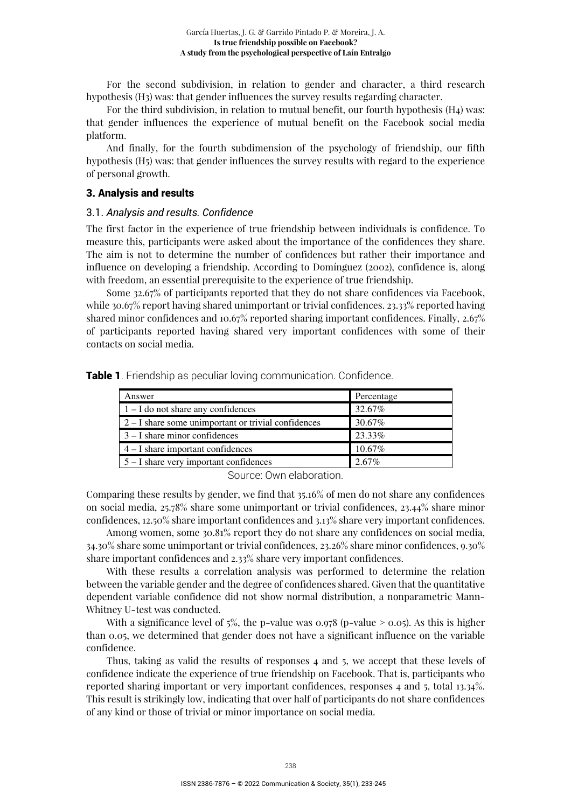For the second subdivision, in relation to gender and character, a third research hypothesis (H3) was: that gender influences the survey results regarding character.

For the third subdivision, in relation to mutual benefit, our fourth hypothesis (H4) was: that gender influences the experience of mutual benefit on the Facebook social media platform.

And finally, for the fourth subdimension of the psychology of friendship, our fifth hypothesis (H5) was: that gender influences the survey results with regard to the experience of personal growth.

#### 3. Analysis and results

#### 3.1. *Analysis and results. Confidence*

The first factor in the experience of true friendship between individuals is confidence. To measure this, participants were asked about the importance of the confidences they share. The aim is not to determine the number of confidences but rather their importance and influence on developing a friendship. According to Domínguez (2002), confidence is, along with freedom, an essential prerequisite to the experience of true friendship.

Some 32.67% of participants reported that they do not share confidences via Facebook, while 30.67% report having shared unimportant or trivial confidences. 23.33% reported having shared minor confidences and 10.67% reported sharing important confidences. Finally, 2.67% of participants reported having shared very important confidences with some of their contacts on social media.

**Table 1**. Friendship as peculiar loving communication. Confidence.

| Answer                                                | Percentage |
|-------------------------------------------------------|------------|
| $1 - I$ do not share any confidences                  | 32.67%     |
| $2 - I$ share some unimportant or trivial confidences | 30.67%     |
| $3 - I$ share minor confidences                       | 23.33%     |
| $4 - I$ share important confidences                   | 10.67%     |
| $5 - I$ share very important confidences              | 2.67%      |

Source: Own elaboration.

Comparing these results by gender, we find that 35.16% of men do not share any confidences on social media, 25.78% share some unimportant or trivial confidences, 23.44% share minor confidences, 12.50% share important confidences and 3.13% share very important confidences.

Among women, some 30.81% report they do not share any confidences on social media, 34.30% share some unimportant or trivial confidences, 23.26% share minor confidences, 9.30% share important confidences and 2.33% share very important confidences.

With these results a correlation analysis was performed to determine the relation between the variable gender and the degree of confidences shared. Given that the quantitative dependent variable confidence did not show normal distribution, a nonparametric Mann-Whitney U-test was conducted.

With a significance level of  $5\%$ , the p-value was 0.978 (p-value > 0.05). As this is higher than 0.05, we determined that gender does not have a significant influence on the variable confidence.

Thus, taking as valid the results of responses 4 and 5, we accept that these levels of confidence indicate the experience of true friendship on Facebook. That is, participants who reported sharing important or very important confidences, responses 4 and 5, total 13.34%. This result is strikingly low, indicating that over half of participants do not share confidences of any kind or those of trivial or minor importance on social media.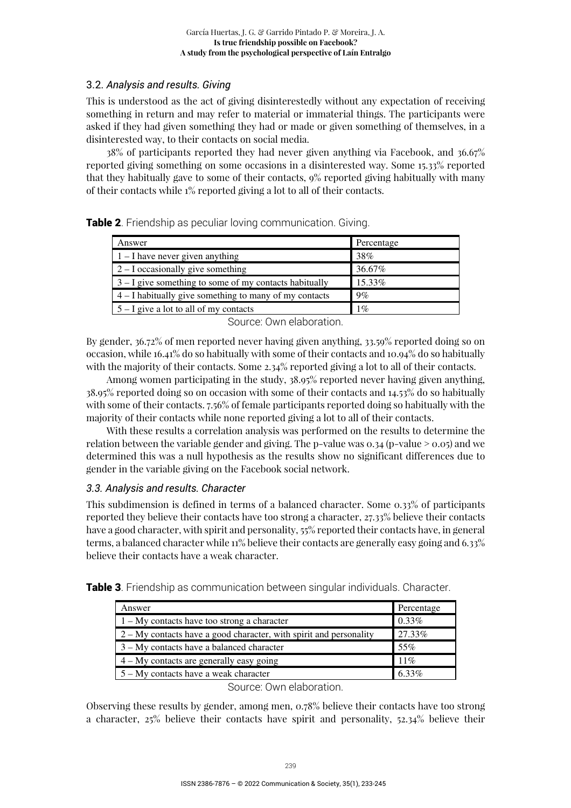# 3.2. *Analysis and results. Giving*

This is understood as the act of giving disinterestedly without any expectation of receiving something in return and may refer to material or immaterial things. The participants were asked if they had given something they had or made or given something of themselves, in a disinterested way, to their contacts on social media.

38% of participants reported they had never given anything via Facebook, and 36.67% reported giving something on some occasions in a disinterested way. Some 15.33% reported that they habitually gave to some of their contacts, 9% reported giving habitually with many of their contacts while 1% reported giving a lot to all of their contacts.

| Table 2. Friendship as peculiar loving communication. Giving. |  |
|---------------------------------------------------------------|--|

| Answer                                                   | Percentage |
|----------------------------------------------------------|------------|
| $1 - I$ have never given anything                        | 38%        |
| $2 - I$ occasionally give something                      | 36.67%     |
| $3 - I$ give something to some of my contacts habitually | 15.33%     |
| $4 - I$ habitually give something to many of my contacts | 9%         |
| $5 - I$ give a lot to all of my contacts                 | $1\%$      |

Source: Own elaboration.

By gender, 36.72% of men reported never having given anything, 33.59% reported doing so on occasion, while 16.41% do so habitually with some of their contacts and 10.94% do so habitually with the majority of their contacts. Some 2.34% reported giving a lot to all of their contacts.

Among women participating in the study, 38.95% reported never having given anything, 38.95% reported doing so on occasion with some of their contacts and 14.53% do so habitually with some of their contacts. 7.56% of female participants reported doing so habitually with the majority of their contacts while none reported giving a lot to all of their contacts.

With these results a correlation analysis was performed on the results to determine the relation between the variable gender and giving. The p-value was  $0.34$  (p-value  $> 0.05$ ) and we determined this was a null hypothesis as the results show no significant differences due to gender in the variable giving on the Facebook social network.

# *3.3. Analysis and results. Character*

This subdimension is defined in terms of a balanced character. Some 0.33% of participants reported they believe their contacts have too strong a character, 27.33% believe their contacts have a good character, with spirit and personality, 55% reported their contacts have, in general terms, a balanced character while 11% believe their contacts are generally easy going and 6.33% believe their contacts have a weak character.

| Answer                                                               | Percentage |
|----------------------------------------------------------------------|------------|
| $1 - My$ contacts have too strong a character                        | $0.33\%$   |
| $2 - My$ contacts have a good character, with spirit and personality | 27.33%     |
| 3 – My contacts have a balanced character                            | 55%        |
| $4 - My$ contacts are generally easy going                           | 11%        |
| 5 – My contacts have a weak character                                | 6.33%      |

**Table 3.** Friendship as communication between singular individuals. Character.

Source: Own elaboration.

Observing these results by gender, among men, 0.78% believe their contacts have too strong a character, 25% believe their contacts have spirit and personality, 52.34% believe their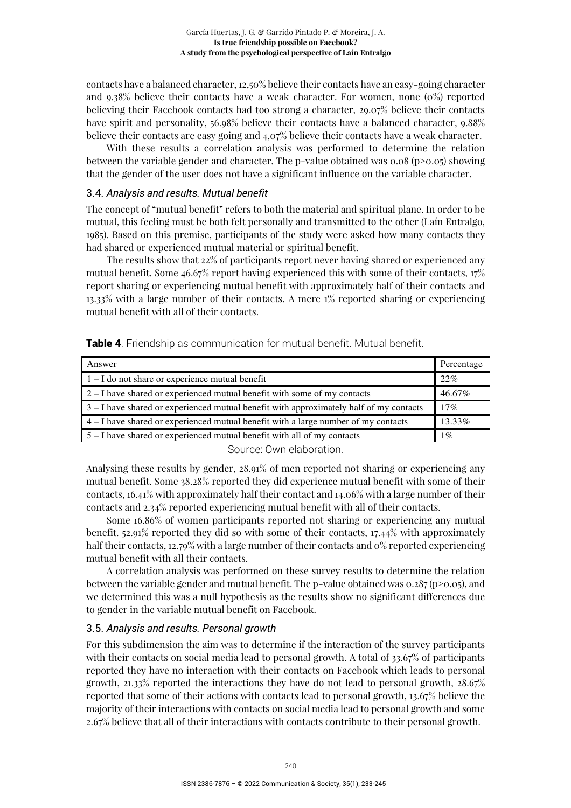contacts have a balanced character, 12,50% believe their contacts have an easy-going character and 9.38% believe their contacts have a weak character. For women, none (0%) reported believing their Facebook contacts had too strong a character, 29.07% believe their contacts have spirit and personality, 56.98% believe their contacts have a balanced character, 9.88% believe their contacts are easy going and 4,07% believe their contacts have a weak character.

With these results a correlation analysis was performed to determine the relation between the variable gender and character. The p-value obtained was  $0.08$  (p $>0.05$ ) showing that the gender of the user does not have a significant influence on the variable character.

### 3.4. *Analysis and results. Mutual benefit*

The concept of "mutual benefit" refers to both the material and spiritual plane. In order to be mutual, this feeling must be both felt personally and transmitted to the other (Laín Entralgo, 1985). Based on this premise, participants of the study were asked how many contacts they had shared or experienced mutual material or spiritual benefit.

The results show that 22% of participants report never having shared or experienced any mutual benefit. Some 46.67% report having experienced this with some of their contacts, 17% report sharing or experiencing mutual benefit with approximately half of their contacts and 13.33% with a large number of their contacts. A mere 1% reported sharing or experiencing mutual benefit with all of their contacts.

| Answer                                                                                   | Percentage |
|------------------------------------------------------------------------------------------|------------|
| $1 - I$ do not share or experience mutual benefit                                        | 22%        |
| $2 - I$ have shared or experienced mutual benefit with some of my contacts               | 46.67%     |
| $3 - I$ have shared or experienced mutual benefit with approximately half of my contacts | $17\%$     |
| $4 - I$ have shared or experienced mutual benefit with a large number of my contacts     | 13.33%     |
| $5 - I$ have shared or experienced mutual benefit with all of my contacts                | $1\%$      |

**Table 4.** Friendship as communication for mutual benefit. Mutual benefit.

Source: Own elaboration.

Analysing these results by gender, 28.91% of men reported not sharing or experiencing any mutual benefit. Some 38.28% reported they did experience mutual benefit with some of their contacts, 16.41% with approximately half their contact and 14.06% with a large number of their contacts and 2.34% reported experiencing mutual benefit with all of their contacts.

Some 16.86% of women participants reported not sharing or experiencing any mutual benefit. 52.91% reported they did so with some of their contacts, 17.44% with approximately half their contacts, 12.79% with a large number of their contacts and 0% reported experiencing mutual benefit with all their contacts.

A correlation analysis was performed on these survey results to determine the relation between the variable gender and mutual benefit. The p-value obtained was  $0.287$  (p $>0.05$ ), and we determined this was a null hypothesis as the results show no significant differences due to gender in the variable mutual benefit on Facebook.

# 3.5. *Analysis and results. Personal growth*

For this subdimension the aim was to determine if the interaction of the survey participants with their contacts on social media lead to personal growth. A total of 33.67% of participants reported they have no interaction with their contacts on Facebook which leads to personal growth,  $21.33\%$  reported the interactions they have do not lead to personal growth,  $28.67\%$ reported that some of their actions with contacts lead to personal growth, 13.67% believe the majority of their interactions with contacts on social media lead to personal growth and some 2.67% believe that all of their interactions with contacts contribute to their personal growth.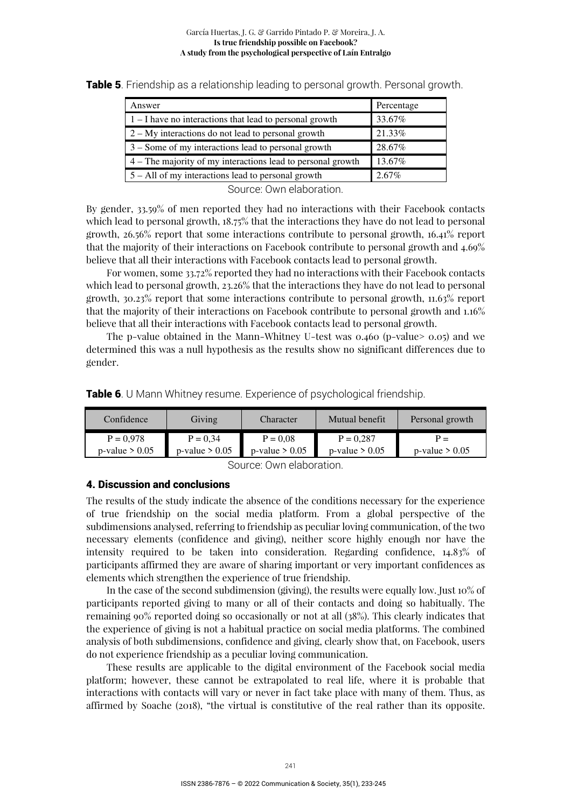| Answer                                                      | Percentage |
|-------------------------------------------------------------|------------|
| $1 - I$ have no interactions that lead to personal growth   | 33.67%     |
| $2 - My$ interactions do not lead to personal growth        | 21.33%     |
| 3 – Some of my interactions lead to personal growth         | 28.67%     |
| 4 – The majority of my interactions lead to personal growth | 13.67%     |
| $5 - All$ of my interactions lead to personal growth        | 2.67%      |

**Table 5**. Friendship as a relationship leading to personal growth. Personal growth.

Source: Own elaboration.

By gender, 33.59% of men reported they had no interactions with their Facebook contacts which lead to personal growth, 18.75% that the interactions they have do not lead to personal growth, 26.56% report that some interactions contribute to personal growth, 16.41% report that the majority of their interactions on Facebook contribute to personal growth and 4.69% believe that all their interactions with Facebook contacts lead to personal growth.

For women, some 33.72% reported they had no interactions with their Facebook contacts which lead to personal growth, 23.26% that the interactions they have do not lead to personal growth, 30.23% report that some interactions contribute to personal growth, 11.63% report that the majority of their interactions on Facebook contribute to personal growth and 1.16% believe that all their interactions with Facebook contacts lead to personal growth.

The p-value obtained in the Mann-Whitney U-test was 0.460 (p-value> 0.05) and we determined this was a null hypothesis as the results show no significant differences due to gender.

| Table 6. U Mann Whitney resume. Experience of psychological friendship. |  |  |  |
|-------------------------------------------------------------------------|--|--|--|
|                                                                         |  |  |  |

| Confidence        | Giving            | Character         | Mutual benefit    | Personal growth   |
|-------------------|-------------------|-------------------|-------------------|-------------------|
| $P = 0.978$       | $P = 0.34$        | $P = 0.08$        | $P = 0.287$       | $P -$             |
| $p$ -value > 0.05 | $p$ -value > 0.05 | $p$ -value > 0.05 | $p$ -value > 0.05 | $p$ -value > 0.05 |

Source: Own elaboration.

# 4. Discussion and conclusions

The results of the study indicate the absence of the conditions necessary for the experience of true friendship on the social media platform. From a global perspective of the subdimensions analysed, referring to friendship as peculiar loving communication, of the two necessary elements (confidence and giving), neither score highly enough nor have the intensity required to be taken into consideration. Regarding confidence, 14.83% of participants affirmed they are aware of sharing important or very important confidences as elements which strengthen the experience of true friendship.

In the case of the second subdimension (giving), the results were equally low. Just 10% of participants reported giving to many or all of their contacts and doing so habitually. The remaining 90% reported doing so occasionally or not at all (38%). This clearly indicates that the experience of giving is not a habitual practice on social media platforms. The combined analysis of both subdimensions, confidence and giving, clearly show that, on Facebook, users do not experience friendship as a peculiar loving communication.

These results are applicable to the digital environment of the Facebook social media platform; however, these cannot be extrapolated to real life, where it is probable that interactions with contacts will vary or never in fact take place with many of them. Thus, as affirmed by Soache (2018), "the virtual is constitutive of the real rather than its opposite.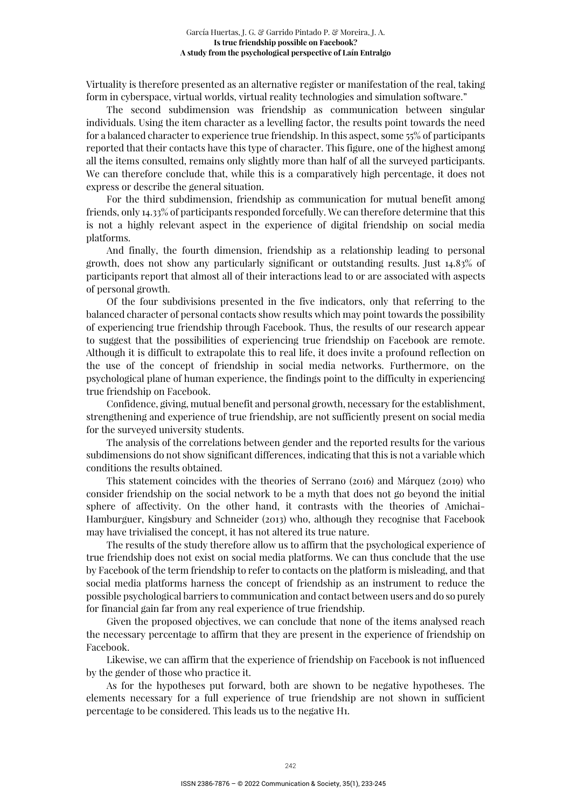Virtuality is therefore presented as an alternative register or manifestation of the real, taking form in cyberspace, virtual worlds, virtual reality technologies and simulation software."

The second subdimension was friendship as communication between singular individuals. Using the item character as a levelling factor, the results point towards the need for a balanced character to experience true friendship. In this aspect, some 55% of participants reported that their contacts have this type of character. This figure, one of the highest among all the items consulted, remains only slightly more than half of all the surveyed participants. We can therefore conclude that, while this is a comparatively high percentage, it does not express or describe the general situation.

For the third subdimension, friendship as communication for mutual benefit among friends, only 14.33% of participants responded forcefully. We can therefore determine that this is not a highly relevant aspect in the experience of digital friendship on social media platforms.

And finally, the fourth dimension, friendship as a relationship leading to personal growth, does not show any particularly significant or outstanding results. Just 14.83% of participants report that almost all of their interactions lead to or are associated with aspects of personal growth.

Of the four subdivisions presented in the five indicators, only that referring to the balanced character of personal contacts show results which may point towards the possibility of experiencing true friendship through Facebook. Thus, the results of our research appear to suggest that the possibilities of experiencing true friendship on Facebook are remote. Although it is difficult to extrapolate this to real life, it does invite a profound reflection on the use of the concept of friendship in social media networks. Furthermore, on the psychological plane of human experience, the findings point to the difficulty in experiencing true friendship on Facebook.

Confidence, giving, mutual benefit and personal growth, necessary for the establishment, strengthening and experience of true friendship, are not sufficiently present on social media for the surveyed university students.

The analysis of the correlations between gender and the reported results for the various subdimensions do not show significant differences, indicating that this is not a variable which conditions the results obtained.

This statement coincides with the theories of Serrano (2016) and Márquez (2019) who consider friendship on the social network to be a myth that does not go beyond the initial sphere of affectivity. On the other hand, it contrasts with the theories of Amichai-Hamburguer, Kingsbury and Schneider (2013) who, although they recognise that Facebook may have trivialised the concept, it has not altered its true nature.

The results of the study therefore allow us to affirm that the psychological experience of true friendship does not exist on social media platforms. We can thus conclude that the use by Facebook of the term friendship to refer to contacts on the platform is misleading, and that social media platforms harness the concept of friendship as an instrument to reduce the possible psychological barriers to communication and contact between users and do so purely for financial gain far from any real experience of true friendship.

Given the proposed objectives, we can conclude that none of the items analysed reach the necessary percentage to affirm that they are present in the experience of friendship on Facebook.

Likewise, we can affirm that the experience of friendship on Facebook is not influenced by the gender of those who practice it.

As for the hypotheses put forward, both are shown to be negative hypotheses. The elements necessary for a full experience of true friendship are not shown in sufficient percentage to be considered. This leads us to the negative H1.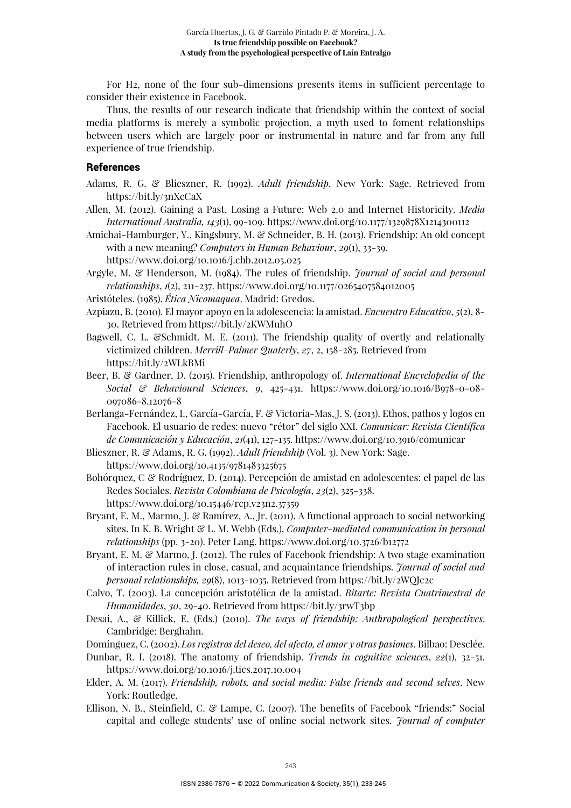For H2, none of the four sub-dimensions presents items in sufficient percentage to consider their existence in Facebook.

Thus, the results of our research indicate that friendship within the context of social media platforms is merely a symbolic projection, a myth used to foment relationships between users which are largely poor or instrumental in nature and far from any full experience of true friendship.

#### **References**

- Adams, R. G. & Blieszner, R. (1992). *Adult friendship*. New York: Sage. Retrieved from https://bit.ly/3nXcCaX
- Allen, M. (2012). Gaining a Past, Losing a Future: Web 2.0 and Internet Historicity. *Media International Australia, 143*(1), 99-109. https://www.doi.org/10.1177/1329878X1214300112
- Amichai-Hamburger, Y., Kingsbury, M. & Schneider, B. H. (2013). Friendship: An old concept with a new meaning? *Computers in Human Behaviour*, *29*(1), 33-39. https://www.doi.org/10.1016/j.chb.2012.05.025

Argyle, M. & Henderson, M. (1984). The rules of friendship. *Journal of social and personal relationships*, *1*(2), 211-237. https://www.doi.org/10.1177/0265407584012005

- Aristóteles. (1985). *Ética Nicomaquea*. Madrid: Gredos.
- Azpiazu, B. (2010). El mayor apoyo en la adolescencia: la amistad. *Encuentro Educativo*, *5*(2), 8- 30. Retrieved from https://bit.ly/2KWMuhO
- Bagwell, C. L. &Schmidt. M. E. (2011). The friendship quality of overtly and relationally victimized children. *Merrill-Palmer Quaterly*, *27*, 2, 158-285. Retrieved from https://bit.ly/2WLkBMi
- Beer, B. & Gardner, D. (2015). Friendship, anthropology of. *International Encyclopedia of the Social & Behavioural Sciences*, *9*, 425-431. https://www.doi.org/10.1016/B978-0-08- 097086-8.12076-8
- Berlanga-Fernández, I., García-García, F. & Victoria-Mas, J. S. (2013). Ethos, pathos y logos en Facebook. El usuario de redes: nuevo "rétor" del siglo XXI. *Comunicar: Revista Científica de Comunicación y Educación*, *21*(41), 127-135. https://www.doi.org/10.3916/comunicar

Blieszner, R. & Adams, R. G. (1992). *Adult friendship* (Vol. 3). New York: Sage. https://www.doi.org/10.4135/9781483325675

- Bohórquez, C & Rodríguez, D. (2014). Percepción de amistad en adolescentes: el papel de las Redes Sociales. *Revista Colombiana de Psicología*, *23*(2), 325-338. https://www.doi.org/10.15446/rcp.v23n2.37359
- Bryant, E. M., Marmo, J. & Ramírez, A., Jr. (2011). A functional approach to social networking sites. In K. B. Wright & L. M. Webb (Eds.), *Computer-mediated communication in personal relationships* (pp. 3-20). Peter Lang. https://www.doi.org/10.3726/b12772
- Bryant, E. M. & Marmo, J. (2012). The rules of Facebook friendship: A two stage examination of interaction rules in close, casual, and acquaintance friendships. *Journal of social and personal relationships, 29*(8), 1013-1035. Retrieved from https://bit.ly/2WQJc2c
- Calvo, T. (2003). La concepción aristotélica de la amistad. *Bitarte: Revista Cuatrimestral de Humanidades*, *30*, 29-40. Retrieved from https://bit.ly/3rwT3bp
- Desai, A., & Killick, E. (Eds.) (2010). *The ways of friendship: Anthropological perspectives*. Cambridge: Berghahn.

Domínguez, C. (2002). *Los registros del deseo, del afecto, el amor y otras pasiones*. Bilbao: Desclée.

- Dunbar, R. I. (2018). The anatomy of friendship. *Trends in cognitive sciences*, *22*(1), 32-51. https://www.doi.org/10.1016/j.tics.2017.10.004
- Elder, A. M. (2017). *Friendship, robots, and social media: False friends and second selves*. New York: Routledge.
- Ellison, N. B., Steinfield, C. & Lampe, C. (2007). The benefits of Facebook "friends:" Social capital and college students' use of online social network sites. *Journal of computer*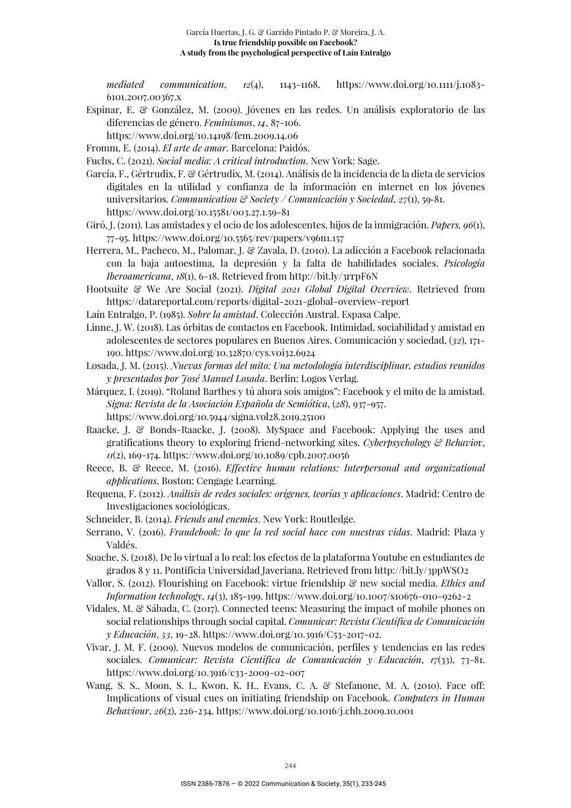*mediated communication*, *12*(4), 1143-1168. https://www.doi.org/10.1111/j.1083- 6101.2007.00367.x

- Espinar, E. & González, M. (2009). Jóvenes en las redes. Un análisis exploratorio de las diferencias de género. *Feminismos*, *14*, 87-106.
	- https://www.doi.org/10.14198/fem.2009.14.06
- Fromm, E. (2014). *El arte de amar*. Barcelona: Paidós.
- Fuchs, C. (2021). *Social media: A critical introduction*. New York: Sage.

García, F., Gértrudix, F. & Gértrudix, M. (2014). Análisis de la incidencia de la dieta de servicios digitales en la utilidad y confianza de la información en internet en los jóvenes universitarios. *Communication & Society / Comunicación y Sociedad*, *27*(1), 59‐81. https://www.doi.org/10.15581/003.27.1.59-81

- Giró, J. (2011). Las amistades y el ocio de los adolescentes, hijos de la inmigración. *Papers, 96*(1), 77-95. https://www.doi.org/10.5565/rev/papers/v96n1.157
- Herrera, M., Pacheco, M., Palomar, J. & Zavala, D. (2010). La adicción a Facebook relacionada con la baja autoestima, la depresión y la falta de habilidades sociales. *Psicología Iberoamericana*, *18*(1), 6-18. Retrieved from http://bit.ly/3rrpF6N
- Hootsuite & We Are Social (2021). *Digital 2021 Global Digital Overview*. Retrieved from https://datareportal.com/reports/digital-2021-global-overview-report
- Laín Entralgo, P. (1985). *Sobre la amistad*. Colección Austral. Espasa Calpe.
- Linne, J. W. (2018). Las órbitas de contactos en Facebook. Intimidad, sociabilidad y amistad en adolescentes de sectores populares en Buenos Aires. Comunicación y sociedad, (*32*), 171- 190. https://www.doi.org/10.32870/cys.v0i32.6924

Losada, J. M. (2015). *Nuevas formas del mito: Una metodología interdisciplinar, estudios reunidos y presentados por José Manuel Losada*. Berlin: Logos Verlag.

- Márquez, I. (2019). "Roland Barthes y tú ahora sois amigos": Facebook y el mito de la amistad. *Signa: Revista de la Asociación Española de Semiótica*, (*28*), 937-957. https://www.doi.org/10.5944/signa.vol28.2019.25100
- Raacke, J. & Bonds-Raacke, J. (2008). MySpace and Facebook: Applying the uses and gratifications theory to exploring friend-networking sites. *Cyberpsychology & Behavio*r, *11*(2), 169-174. https://www.doi.org/10.1089/cpb.2007.0056
- Reece, B. & Reece, M. (2016). *Effective human relations: Interpersonal and organizational applications*. Boston: Cengage Learning.
- Requena, F. (2012). *Análisis de redes sociales: orígenes, teorías y aplicaciones*. Madrid: Centro de Investigaciones sociológicas.
- Schneider, B. (2014). *Friends and enemies*. New York: Routledge.
- Serrano, V. (2016). *Fraudebook: lo que la red social hace con nuestras vidas*. Madrid: Plaza y Valdés.
- Soache, S. (2018). De lo virtual a lo real: los efectos de la plataforma Youtube en estudiantes de grados 8 y 11. Pontificia Universidad Javeriana. Retrieved from http://bit.ly/3ppWSO2
- Vallor, S. (2012). Flourishing on Facebook: virtue friendship & new social media. *Ethics and Information technology*, *14*(3), 185-199. https://www.doi.org/10.1007/s10676-010-9262-2
- Vidales, M. & Sábada, C. (2017). Connected teens: Measuring the impact of mobile phones on social relationships through social capital. *Comunicar: Revista Científica de Comunicación y Educación*, *53*, 19-28. https://www.doi.org/10.3916/C53-2017-02.
- Vivar, J. M. F. (2009). Nuevos modelos de comunicación, perfiles y tendencias en las redes sociales. *Comunicar: Revista Científica de Comunicación y Educación*, *17*(33), 73-81. https://www.doi.org/10.3916/c33-2009-02-007
- Wang, S. S., Moon, S. I., Kwon, K. H., Evans, C. A. & Stefanone, M. A. (2010). Face off: Implications of visual cues on initiating friendship on Facebook. *Computers in Human Behaviour*, *26*(2), 226-234. https://www.doi.org/10.1016/j.chb.2009.10.001